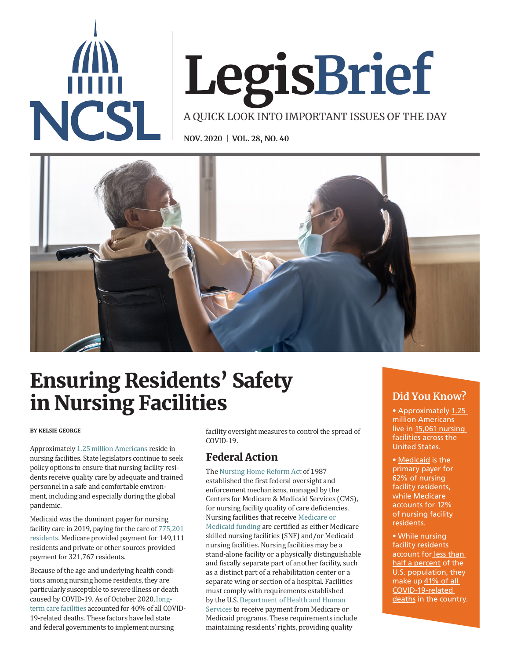

# **LegisBrief**

A QUICK LOOK INTO IMPORTANT ISSUES OF THE DAY

**NOV. 2020 | VOL. 28, NO. 40**



# Ensuring Residents' Safety in Nursing Facilities **Did You Know?**

## **BY KELSIE GEORGE**

Approximately [1.25 million Americans](https://www.kff.org/other/state-indicator/number-of-nursing-facility-residents/?currentTimeframe=0&sortModel=%7B%22colId%22:%22Location%22,%22sort%22:%22asc%22%7D) reside in nursing facilities. State legislators continue to seek policy options to ensure that nursing facility residents receive quality care by adequate and trained personnel in a safe and comfortable environment, including and especially during the global pandemic.

Medicaid was the dominant payer for nursing facility care in 2019, paying for the care of [775,201](https://www.kff.org/other/state-indicator/distribution-of-certified-nursing-facilities-by-primary-payer-source/?dataView=1¤tTimeframe=0&sortModel=%7B%22colId%22:%22Location%22,%22sort%22:%22asc%22%7D)  [residents](https://www.kff.org/other/state-indicator/distribution-of-certified-nursing-facilities-by-primary-payer-source/?dataView=1¤tTimeframe=0&sortModel=%7B%22colId%22:%22Location%22,%22sort%22:%22asc%22%7D). Medicare provided payment for 149,111 residents and private or other sources provided payment for 321,767 residents.

Because of the age and underlying health conditions among nursing home residents, they are particularly susceptible to severe illness or death caused by COVID-19. As of October 2020, [long](https://www.kff.org/health-costs/issue-brief/state-data-and-policy-actions-to-address-coronavirus/)[term care facilities](https://www.kff.org/health-costs/issue-brief/state-data-and-policy-actions-to-address-coronavirus/) accounted for 40% of all COVID-19-related deaths. These factors have led state and federal governments to implement nursing

facility oversight measures to control the spread of COVID-19.

# Federal Action

The [Nursing Home Reform Act](https://www.congress.gov/bill/100th-congress/house-bill/3545) of 1987 established the first federal oversight and enforcement mechanisms, managed by the Centers for Medicare & Medicaid Services (CMS), for nursing facility quality of care deficiencies. Nursing facilities that receive [Medicare or](https://www.kff.org/coronavirus-covid-19/issue-brief/key-questions-about-nursing-home-regulation-and-oversight-in-the-wake-of-covid-19/)  [Medicaid funding](https://www.kff.org/coronavirus-covid-19/issue-brief/key-questions-about-nursing-home-regulation-and-oversight-in-the-wake-of-covid-19/) are certified as either Medicare skilled nursing facilities (SNF) and/or Medicaid nursing facilities. Nursing facilities may be a stand-alone facility or a physically distinguishable and fiscally separate part of another facility, such as a distinct part of a rehabilitation center or a separate wing or section of a hospital. Facilities must comply with requirements established by the U.S. [Department of Health and Human](https://www.govinfo.gov/content/pkg/CFR-2011-title42-vol5/pdf/CFR-2011-title42-vol5-part483.pdf)  [Services](https://www.govinfo.gov/content/pkg/CFR-2011-title42-vol5/pdf/CFR-2011-title42-vol5-part483.pdf) to receive payment from Medicare or Medicaid programs. These requirements include maintaining residents' rights, providing quality

• Approximately 1.25 [million Americans](https://www.kff.org/other/state-indicator/number-of-nursing-facility-residents/?currentTimeframe=0&sortModel=%7B%22colId%22:%22Location%22,%22sort%22:%22asc%22%7D) live in [15,061 nursing](https://www.kff.org/other/state-indicator/number-of-nursing-facilities/?currentTimeframe=0&sortModel=%7B%22colId%22:%22Location%22,%22sort%22:%22asc%22%7D)  [facilities](https://www.kff.org/other/state-indicator/number-of-nursing-facilities/?currentTimeframe=0&sortModel=%7B%22colId%22:%22Location%22,%22sort%22:%22asc%22%7D) across the United States.

• [Medicaid](https://www.kff.org/other/state-indicator/distribution-of-certified-nursing-facilities-by-primary-payer-source/?currentTimeframe=0&sortModel=%7B%22colId%22:%22Location%22,%22sort%22:%22asc%22%7D) is the primary payer for 62% of nursing facility residents, while Medicare accounts for 12% of nursing facility residents.

• While nursing facility residents account for [less than](https://www.kff.org/other/state-indicator/number-of-nursing-facility-residents/?currentTimeframe=0&sortModel=%7B%22colId%22:%22Location%22,%22sort%22:%22asc%22%7D)  [half a percent](https://www.kff.org/other/state-indicator/number-of-nursing-facility-residents/?currentTimeframe=0&sortModel=%7B%22colId%22:%22Location%22,%22sort%22:%22asc%22%7D) of the U.S. population, they make up [41% of all](https://www.kff.org/health-costs/issue-brief/state-data-and-policy-actions-to-address-coronavirus/)  [COVID-19-related](https://www.kff.org/health-costs/issue-brief/state-data-and-policy-actions-to-address-coronavirus/)  [deaths](https://www.kff.org/health-costs/issue-brief/state-data-and-policy-actions-to-address-coronavirus/) in the country.